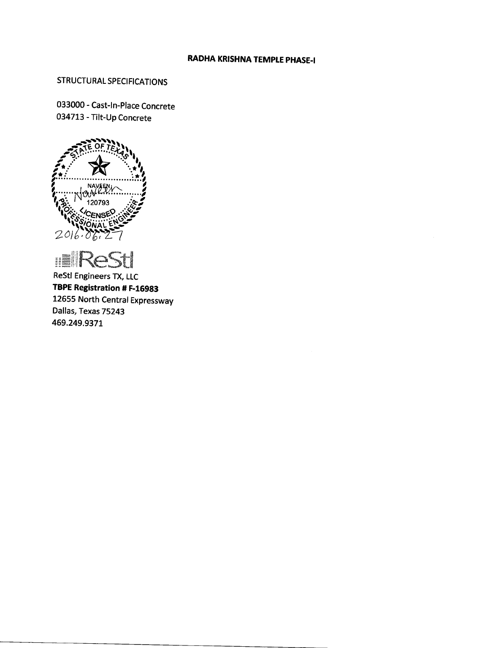# **RADHA KRISHNA TEMPLE PHASE-I**

# **STRUCTURAL SPECIFICATIONS**

033000 - Cast-In-Place Concrete 034713 - Tilt-Up Concrete





**ReStl Engineers TX, LLC** TBPE Registration # F-16983 12655 North Central Expressway Dallas, Texas 75243 469.249.9371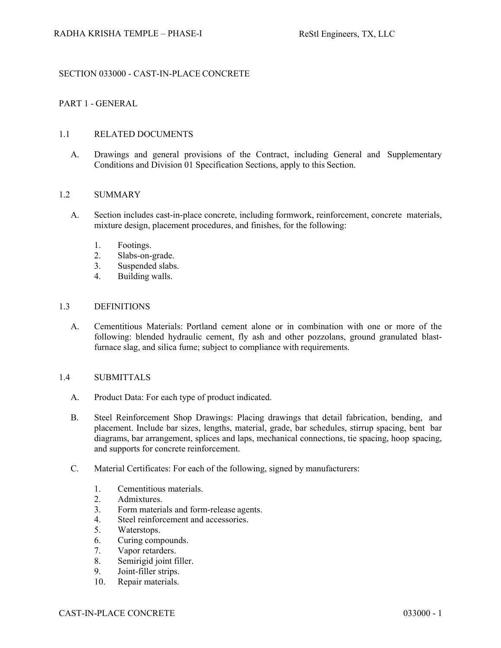# SECTION 033000 - CAST-IN-PLACE CONCRETE

# PART 1 - GENERAL

# 1.1 RELATED DOCUMENTS

A. Drawings and general provisions of the Contract, including General and Supplementary Conditions and Division 01 Specification Sections, apply to this Section.

#### 1.2 SUMMARY

- A. Section includes cast-in-place concrete, including formwork, reinforcement, concrete materials, mixture design, placement procedures, and finishes, for the following:
	- 1. Footings.
	- 2. Slabs-on-grade.
	- 3. Suspended slabs.
	- 4. Building walls.

#### 1.3 DEFINITIONS

A. Cementitious Materials: Portland cement alone or in combination with one or more of the following: blended hydraulic cement, fly ash and other pozzolans, ground granulated blastfurnace slag, and silica fume; subject to compliance with requirements.

# 1.4 SUBMITTALS

- A. Product Data: For each type of product indicated.
- B. Steel Reinforcement Shop Drawings: Placing drawings that detail fabrication, bending, and placement. Include bar sizes, lengths, material, grade, bar schedules, stirrup spacing, bent bar diagrams, bar arrangement, splices and laps, mechanical connections, tie spacing, hoop spacing, and supports for concrete reinforcement.
- C. Material Certificates: For each of the following, signed by manufacturers:
	- 1. Cementitious materials.
	- 2. Admixtures.
	- 3. Form materials and form-release agents.
	- 4. Steel reinforcement and accessories.
	- 5. Waterstops.
	- 6. Curing compounds.
	- 7. Vapor retarders.
	- 8. Semirigid joint filler.
	- 9. Joint-filler strips.
	- 10. Repair materials.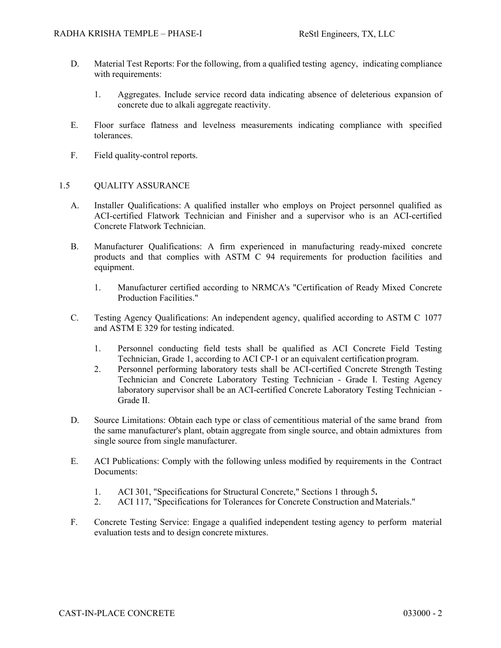- D. Material Test Reports: For the following, from a qualified testing agency, indicating compliance with requirements:
	- 1. Aggregates. Include service record data indicating absence of deleterious expansion of concrete due to alkali aggregate reactivity.
- E. Floor surface flatness and levelness measurements indicating compliance with specified tolerances.
- F. Field quality-control reports.

#### 1.5 QUALITY ASSURANCE

- A. Installer Qualifications: A qualified installer who employs on Project personnel qualified as ACI-certified Flatwork Technician and Finisher and a supervisor who is an ACI-certified Concrete Flatwork Technician.
- B. Manufacturer Qualifications: A firm experienced in manufacturing ready-mixed concrete products and that complies with ASTM C 94 requirements for production facilities and equipment.
	- 1. Manufacturer certified according to NRMCA's "Certification of Ready Mixed Concrete Production Facilities."
- C. Testing Agency Qualifications: An independent agency, qualified according to ASTM C 1077 and ASTM E 329 for testing indicated.
	- 1. Personnel conducting field tests shall be qualified as ACI Concrete Field Testing Technician, Grade 1, according to ACI CP-1 or an equivalent certification program.
	- 2. Personnel performing laboratory tests shall be ACI-certified Concrete Strength Testing Technician and Concrete Laboratory Testing Technician - Grade I. Testing Agency laboratory supervisor shall be an ACI-certified Concrete Laboratory Testing Technician - Grade II.
- D. Source Limitations: Obtain each type or class of cementitious material of the same brand from the same manufacturer's plant, obtain aggregate from single source, and obtain admixtures from single source from single manufacturer.
- E. ACI Publications: Comply with the following unless modified by requirements in the Contract Documents:
	- 1. ACI 301, "Specifications for Structural Concrete," Sections 1 through 5**.**
	- 2. ACI 117, "Specifications for Tolerances for Concrete Construction and Materials."
- F. Concrete Testing Service: Engage a qualified independent testing agency to perform material evaluation tests and to design concrete mixtures.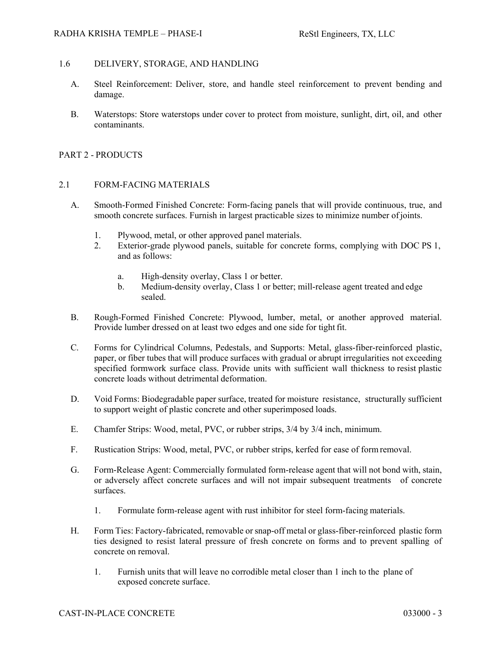#### RADHA KRISHA TEMPLE – PHASE-I ReStl Engineers, TX, LLC

# 1.6 DELIVERY, STORAGE, AND HANDLING

- A. Steel Reinforcement: Deliver, store, and handle steel reinforcement to prevent bending and damage.
- B. Waterstops: Store waterstops under cover to protect from moisture, sunlight, dirt, oil, and other contaminants.

#### PART 2 - PRODUCTS

#### 2.1 FORM-FACING MATERIALS

- A. Smooth-Formed Finished Concrete: Form-facing panels that will provide continuous, true, and smooth concrete surfaces. Furnish in largest practicable sizes to minimize number of joints.
	- 1. Plywood, metal, or other approved panel materials.
	- 2. Exterior-grade plywood panels, suitable for concrete forms, complying with DOC PS 1, and as follows:
		- a. High-density overlay, Class 1 or better.
		- b. Medium-density overlay, Class 1 or better; mill-release agent treated and edge sealed.
- B. Rough-Formed Finished Concrete: Plywood, lumber, metal, or another approved material. Provide lumber dressed on at least two edges and one side for tight fit.
- C. Forms for Cylindrical Columns, Pedestals, and Supports: Metal, glass-fiber-reinforced plastic, paper, or fiber tubes that will produce surfaces with gradual or abrupt irregularities not exceeding specified formwork surface class. Provide units with sufficient wall thickness to resist plastic concrete loads without detrimental deformation.
- D. Void Forms: Biodegradable paper surface, treated for moisture resistance, structurally sufficient to support weight of plastic concrete and other superimposed loads.
- E. Chamfer Strips: Wood, metal, PVC, or rubber strips, 3/4 by 3/4 inch, minimum.
- F. Rustication Strips: Wood, metal, PVC, or rubber strips, kerfed for ease of form removal.
- G. Form-Release Agent: Commercially formulated form-release agent that will not bond with, stain, or adversely affect concrete surfaces and will not impair subsequent treatments of concrete surfaces.
	- 1. Formulate form-release agent with rust inhibitor for steel form-facing materials.
- H. Form Ties: Factory-fabricated, removable or snap-off metal or glass-fiber-reinforced plastic form ties designed to resist lateral pressure of fresh concrete on forms and to prevent spalling of concrete on removal.
	- 1. Furnish units that will leave no corrodible metal closer than 1 inch to the plane of exposed concrete surface.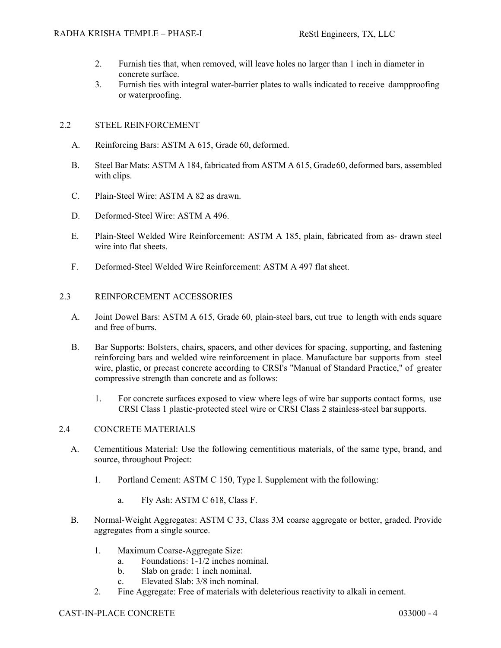- 2. Furnish ties that, when removed, will leave holes no larger than 1 inch in diameter in concrete surface.
- 3. Furnish ties with integral water-barrier plates to walls indicated to receive dampproofing or waterproofing.

# 2.2 STEEL REINFORCEMENT

- A. Reinforcing Bars: ASTM A 615, Grade 60, deformed.
- B. Steel Bar Mats: ASTM A 184, fabricated from ASTM A 615, Grade 60, deformed bars, assembled with clips.
- C. Plain-Steel Wire: ASTM A 82 as drawn.
- D. Deformed-Steel Wire: ASTM A 496.
- E. Plain-Steel Welded Wire Reinforcement: ASTM A 185, plain, fabricated from as- drawn steel wire into flat sheets.
- F. Deformed-Steel Welded Wire Reinforcement: ASTM A 497 flat sheet.

#### 2.3 REINFORCEMENT ACCESSORIES

- A. Joint Dowel Bars: ASTM A 615, Grade 60, plain-steel bars, cut true to length with ends square and free of burrs.
- B. Bar Supports: Bolsters, chairs, spacers, and other devices for spacing, supporting, and fastening reinforcing bars and welded wire reinforcement in place. Manufacture bar supports from steel wire, plastic, or precast concrete according to CRSI's "Manual of Standard Practice," of greater compressive strength than concrete and as follows:
	- 1. For concrete surfaces exposed to view where legs of wire bar supports contact forms, use CRSI Class 1 plastic-protected steel wire or CRSI Class 2 stainless-steel bar supports.

#### 2.4 CONCRETE MATERIALS

- A. Cementitious Material: Use the following cementitious materials, of the same type, brand, and source, throughout Project:
	- 1. Portland Cement: ASTM C 150, Type I. Supplement with the following:
		- a. Fly Ash: ASTM C 618, Class F.
- B. Normal-Weight Aggregates: ASTM C 33, Class 3M coarse aggregate or better, graded. Provide aggregates from a single source.
	- 1. Maximum Coarse-Aggregate Size:
		- a. Foundations: 1-1/2 inches nominal.
		- b. Slab on grade: 1 inch nominal.
		- c. Elevated Slab: 3/8 inch nominal.
	- 2. Fine Aggregate: Free of materials with deleterious reactivity to alkali in cement.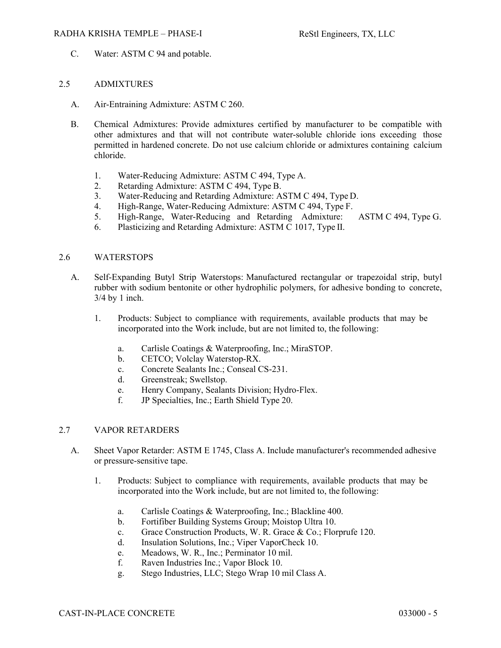#### RADHA KRISHA TEMPLE – PHASE-I Restl Engineers, TX, LLC

C. Water: ASTM C 94 and potable.

# 2.5 ADMIXTURES

- A. Air-Entraining Admixture: ASTM C 260.
- B. Chemical Admixtures: Provide admixtures certified by manufacturer to be compatible with other admixtures and that will not contribute water-soluble chloride ions exceeding those permitted in hardened concrete. Do not use calcium chloride or admixtures containing calcium chloride.
	- 1. Water-Reducing Admixture: ASTM C 494, Type A.
	- 2. Retarding Admixture: ASTM C 494, Type B.
	- 3. Water-Reducing and Retarding Admixture: ASTM C 494, Type D.
	- 4. High-Range, Water-Reducing Admixture: ASTM C 494, Type F.
	- 5. High-Range, Water-Reducing and Retarding Admixture: ASTM C 494, Type G.
	- 6. Plasticizing and Retarding Admixture: ASTM C 1017, Type II.

#### 2.6 WATERSTOPS

- A. Self-Expanding Butyl Strip Waterstops: Manufactured rectangular or trapezoidal strip, butyl rubber with sodium bentonite or other hydrophilic polymers, for adhesive bonding to concrete, 3/4 by 1 inch.
	- 1. Products: Subject to compliance with requirements, available products that may be incorporated into the Work include, but are not limited to, the following:
		- a. Carlisle Coatings & Waterproofing, Inc.; MiraSTOP.
		- b. CETCO; Volclay Waterstop-RX.
		- c. Concrete Sealants Inc.; Conseal CS-231.
		- d. Greenstreak; Swellstop.
		- e. Henry Company, Sealants Division; Hydro-Flex.
		- f. JP Specialties, Inc.; Earth Shield Type 20.

#### 2.7 VAPOR RETARDERS

- A. Sheet Vapor Retarder: ASTM E 1745, Class A. Include manufacturer's recommended adhesive or pressure-sensitive tape.
	- 1. Products: Subject to compliance with requirements, available products that may be incorporated into the Work include, but are not limited to, the following:
		- a. Carlisle Coatings & Waterproofing, Inc.; Blackline 400.
		- b. Fortifiber Building Systems Group; Moistop Ultra 10.
		- c. Grace Construction Products, W. R. Grace & Co.; Florprufe 120.
		- d. Insulation Solutions, Inc.; Viper VaporCheck 10.
		- e. Meadows, W. R., Inc.; Perminator 10 mil.
		- f. Raven Industries Inc.; Vapor Block 10.
		- g. Stego Industries, LLC; Stego Wrap 10 mil Class A.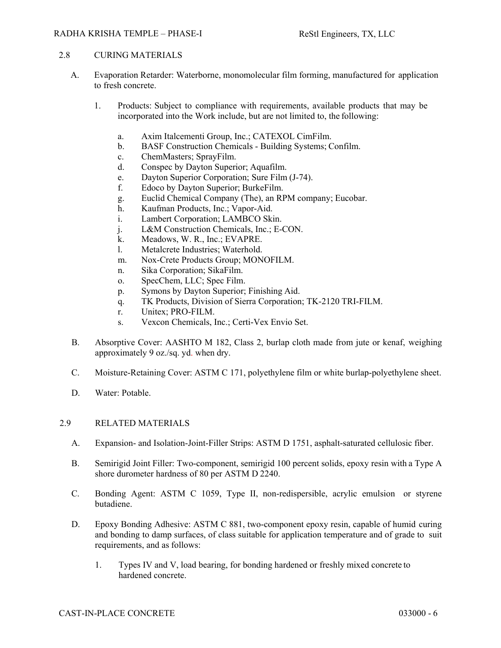## RADHA KRISHA TEMPLE – PHASE-I ReStl Engineers, TX, LLC

# 2.8 CURING MATERIALS

- A. Evaporation Retarder: Waterborne, monomolecular film forming, manufactured for application to fresh concrete.
	- 1. Products: Subject to compliance with requirements, available products that may be incorporated into the Work include, but are not limited to, the following:
		- a. Axim Italcementi Group, Inc.; CATEXOL CimFilm.
		- b. BASF Construction Chemicals Building Systems; Confilm.
		- c. ChemMasters; SprayFilm.
		- d. Conspec by Dayton Superior; Aquafilm.
		- e. Dayton Superior Corporation; Sure Film (J-74).
		- f. Edoco by Dayton Superior; BurkeFilm.
		- g. Euclid Chemical Company (The), an RPM company; Eucobar.
		- h. Kaufman Products, Inc.; Vapor-Aid.
		- i. Lambert Corporation; LAMBCO Skin.
		- j. L&M Construction Chemicals, Inc.; E-CON.
		- k. Meadows, W. R., Inc.; EVAPRE.
		- l. Metalcrete Industries; Waterhold.
		- m. Nox-Crete Products Group; MONOFILM.
		- n. Sika Corporation; SikaFilm.
		- o. SpecChem, LLC; Spec Film.
		- p. Symons by Dayton Superior; Finishing Aid.
		- q. TK Products, Division of Sierra Corporation; TK-2120 TRI-FILM.
		- r. Unitex; PRO-FILM.
		- s. Vexcon Chemicals, Inc.; Certi-Vex Envio Set.
- B. Absorptive Cover: AASHTO M 182, Class 2, burlap cloth made from jute or kenaf, weighing approximately 9 oz./sq. yd. when dry.
- C. Moisture-Retaining Cover: ASTM C 171, polyethylene film or white burlap-polyethylene sheet.
- D. Water: Potable.

#### 2.9 RELATED MATERIALS

- A. Expansion- and Isolation-Joint-Filler Strips: ASTM D 1751, asphalt-saturated cellulosic fiber.
- B. Semirigid Joint Filler: Two-component, semirigid 100 percent solids, epoxy resin with a Type A shore durometer hardness of 80 per ASTM D 2240.
- C. Bonding Agent: ASTM C 1059, Type II, non-redispersible, acrylic emulsion or styrene butadiene.
- D. Epoxy Bonding Adhesive: ASTM C 881, two-component epoxy resin, capable of humid curing and bonding to damp surfaces, of class suitable for application temperature and of grade to suit requirements, and as follows:
	- 1. Types IV and V, load bearing, for bonding hardened or freshly mixed concrete to hardened concrete.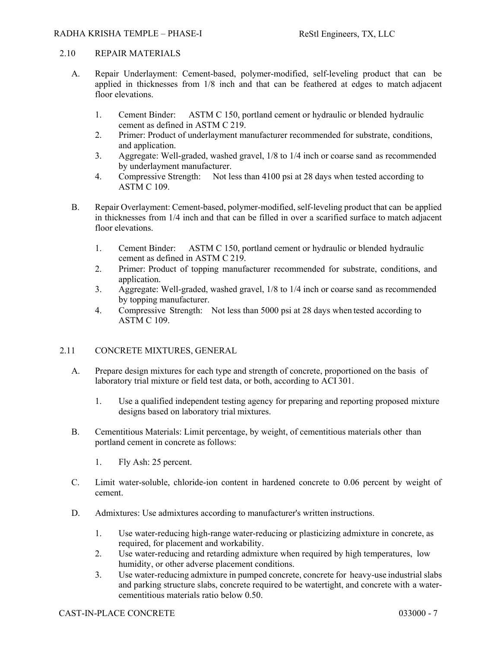# 2.10 REPAIR MATERIALS

- A. Repair Underlayment: Cement-based, polymer-modified, self-leveling product that can be applied in thicknesses from 1/8 inch and that can be feathered at edges to match adjacent floor elevations.
	- 1. Cement Binder: ASTM C 150, portland cement or hydraulic or blended hydraulic cement as defined in ASTM C 219.
	- 2. Primer: Product of underlayment manufacturer recommended for substrate, conditions, and application.
	- 3. Aggregate: Well-graded, washed gravel, 1/8 to 1/4 inch or coarse sand as recommended by underlayment manufacturer.
	- 4. Compressive Strength: Not less than 4100 psi at 28 days when tested according to ASTM C 109.
- B. Repair Overlayment: Cement-based, polymer-modified, self-leveling product that can be applied in thicknesses from 1/4 inch and that can be filled in over a scarified surface to match adjacent floor elevations.
	- 1. Cement Binder: ASTM C 150, portland cement or hydraulic or blended hydraulic cement as defined in ASTM C 219.
	- 2. Primer: Product of topping manufacturer recommended for substrate, conditions, and application.
	- 3. Aggregate: Well-graded, washed gravel, 1/8 to 1/4 inch or coarse sand as recommended by topping manufacturer.
	- 4. Compressive Strength: Not less than 5000 psi at 28 days when tested according to ASTM C 109.

# 2.11 CONCRETE MIXTURES, GENERAL

- A. Prepare design mixtures for each type and strength of concrete, proportioned on the basis of laboratory trial mixture or field test data, or both, according to ACI 301.
	- 1. Use a qualified independent testing agency for preparing and reporting proposed mixture designs based on laboratory trial mixtures.
- B. Cementitious Materials: Limit percentage, by weight, of cementitious materials other than portland cement in concrete as follows:
	- 1. Fly Ash: 25 percent.
- C. Limit water-soluble, chloride-ion content in hardened concrete to 0.06 percent by weight of cement.
- D. Admixtures: Use admixtures according to manufacturer's written instructions.
	- 1. Use water-reducing high-range water-reducing or plasticizing admixture in concrete, as required, for placement and workability.
	- 2. Use water-reducing and retarding admixture when required by high temperatures, low humidity, or other adverse placement conditions.
	- 3. Use water-reducing admixture in pumped concrete, concrete for heavy-use industrial slabs and parking structure slabs, concrete required to be watertight, and concrete with a watercementitious materials ratio below 0.50.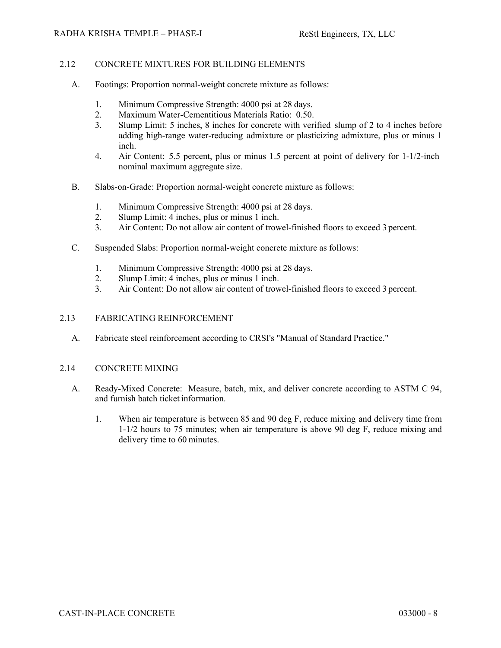# 2.12 CONCRETE MIXTURES FOR BUILDING ELEMENTS

- A. Footings: Proportion normal-weight concrete mixture as follows:
	- 1. Minimum Compressive Strength: 4000 psi at 28 days.
	- 2. Maximum Water-Cementitious Materials Ratio: 0.50.
	- 3. Slump Limit: 5 inches, 8 inches for concrete with verified slump of 2 to 4 inches before adding high-range water-reducing admixture or plasticizing admixture, plus or minus 1 inch.
	- 4. Air Content: 5.5 percent, plus or minus 1.5 percent at point of delivery for 1-1/2-inch nominal maximum aggregate size.
- B. Slabs-on-Grade: Proportion normal-weight concrete mixture as follows:
	- 1. Minimum Compressive Strength: 4000 psi at 28 days.
	- 2. Slump Limit: 4 inches, plus or minus 1 inch.
	- 3. Air Content: Do not allow air content of trowel-finished floors to exceed 3 percent.
- C. Suspended Slabs: Proportion normal-weight concrete mixture as follows:
	- 1. Minimum Compressive Strength: 4000 psi at 28 days.
	- 2. Slump Limit: 4 inches, plus or minus 1 inch.
	- 3. Air Content: Do not allow air content of trowel-finished floors to exceed 3 percent.

#### 2.13 FABRICATING REINFORCEMENT

A. Fabricate steel reinforcement according to CRSI's "Manual of Standard Practice."

#### 2.14 CONCRETE MIXING

- A. Ready-Mixed Concrete: Measure, batch, mix, and deliver concrete according to ASTM C 94, and furnish batch ticket information.
	- 1. When air temperature is between 85 and 90 deg F, reduce mixing and delivery time from 1-1/2 hours to 75 minutes; when air temperature is above 90 deg F, reduce mixing and delivery time to 60 minutes.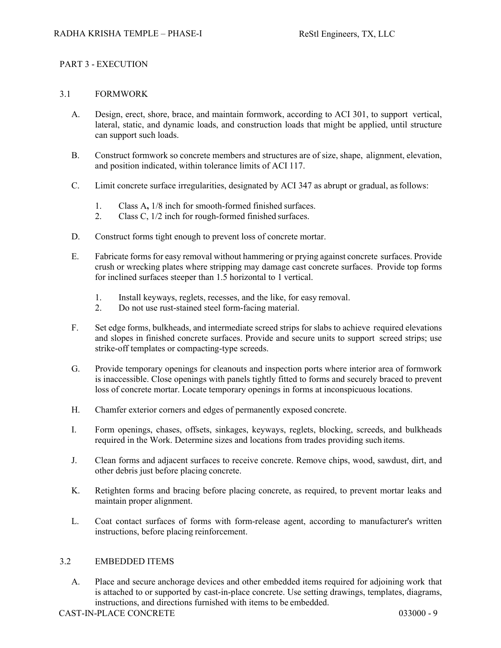# PART 3 - EXECUTION

# 3.1 FORMWORK

- A. Design, erect, shore, brace, and maintain formwork, according to ACI 301, to support vertical, lateral, static, and dynamic loads, and construction loads that might be applied, until structure can support such loads.
- B. Construct formwork so concrete members and structures are of size, shape, alignment, elevation, and position indicated, within tolerance limits of ACI 117.
- C. Limit concrete surface irregularities, designated by ACI 347 as abrupt or gradual, as follows:
	- 1. Class A**,** 1/8 inch for smooth-formed finished surfaces.
	- 2. Class C, 1/2 inch for rough-formed finished surfaces.
- D. Construct forms tight enough to prevent loss of concrete mortar.
- E. Fabricate forms for easy removal without hammering or prying against concrete surfaces. Provide crush or wrecking plates where stripping may damage cast concrete surfaces. Provide top forms for inclined surfaces steeper than 1.5 horizontal to 1 vertical.
	- 1. Install keyways, reglets, recesses, and the like, for easy removal.
	- 2. Do not use rust-stained steel form-facing material.
- F. Set edge forms, bulkheads, and intermediate screed strips for slabs to achieve required elevations and slopes in finished concrete surfaces. Provide and secure units to support screed strips; use strike-off templates or compacting-type screeds.
- G. Provide temporary openings for cleanouts and inspection ports where interior area of formwork is inaccessible. Close openings with panels tightly fitted to forms and securely braced to prevent loss of concrete mortar. Locate temporary openings in forms at inconspicuous locations.
- H. Chamfer exterior corners and edges of permanently exposed concrete.
- I. Form openings, chases, offsets, sinkages, keyways, reglets, blocking, screeds, and bulkheads required in the Work. Determine sizes and locations from trades providing such items.
- J. Clean forms and adjacent surfaces to receive concrete. Remove chips, wood, sawdust, dirt, and other debris just before placing concrete.
- K. Retighten forms and bracing before placing concrete, as required, to prevent mortar leaks and maintain proper alignment.
- L. Coat contact surfaces of forms with form-release agent, according to manufacturer's written instructions, before placing reinforcement.

# 3.2 EMBEDDED ITEMS

A. Place and secure anchorage devices and other embedded items required for adjoining work that is attached to or supported by cast-in-place concrete. Use setting drawings, templates, diagrams, instructions, and directions furnished with items to be embedded.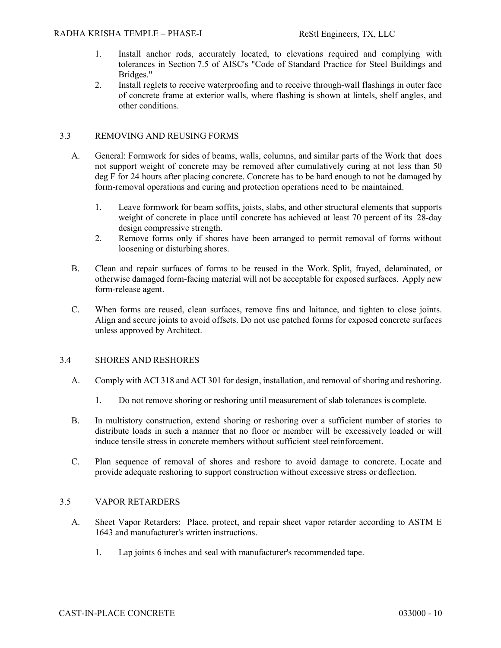- 1. Install anchor rods, accurately located, to elevations required and complying with tolerances in Section 7.5 of AISC's "Code of Standard Practice for Steel Buildings and Bridges."
- 2. Install reglets to receive waterproofing and to receive through-wall flashings in outer face of concrete frame at exterior walls, where flashing is shown at lintels, shelf angles, and other conditions.

# 3.3 REMOVING AND REUSING FORMS

- A. General: Formwork for sides of beams, walls, columns, and similar parts of the Work that does not support weight of concrete may be removed after cumulatively curing at not less than 50 deg F for 24 hours after placing concrete. Concrete has to be hard enough to not be damaged by form-removal operations and curing and protection operations need to be maintained.
	- 1. Leave formwork for beam soffits, joists, slabs, and other structural elements that supports weight of concrete in place until concrete has achieved at least 70 percent of its 28-day design compressive strength.
	- 2. Remove forms only if shores have been arranged to permit removal of forms without loosening or disturbing shores.
- B. Clean and repair surfaces of forms to be reused in the Work. Split, frayed, delaminated, or otherwise damaged form-facing material will not be acceptable for exposed surfaces. Apply new form-release agent.
- C. When forms are reused, clean surfaces, remove fins and laitance, and tighten to close joints. Align and secure joints to avoid offsets. Do not use patched forms for exposed concrete surfaces unless approved by Architect.

# 3.4 SHORES AND RESHORES

- A. Comply with ACI 318 and ACI 301 for design, installation, and removal of shoring and reshoring.
	- 1. Do not remove shoring or reshoring until measurement of slab tolerances is complete.
- B. In multistory construction, extend shoring or reshoring over a sufficient number of stories to distribute loads in such a manner that no floor or member will be excessively loaded or will induce tensile stress in concrete members without sufficient steel reinforcement.
- C. Plan sequence of removal of shores and reshore to avoid damage to concrete. Locate and provide adequate reshoring to support construction without excessive stress or deflection.

# 3.5 VAPOR RETARDERS

- A. Sheet Vapor Retarders: Place, protect, and repair sheet vapor retarder according to ASTM E 1643 and manufacturer's written instructions.
	- 1. Lap joints 6 inches and seal with manufacturer's recommended tape.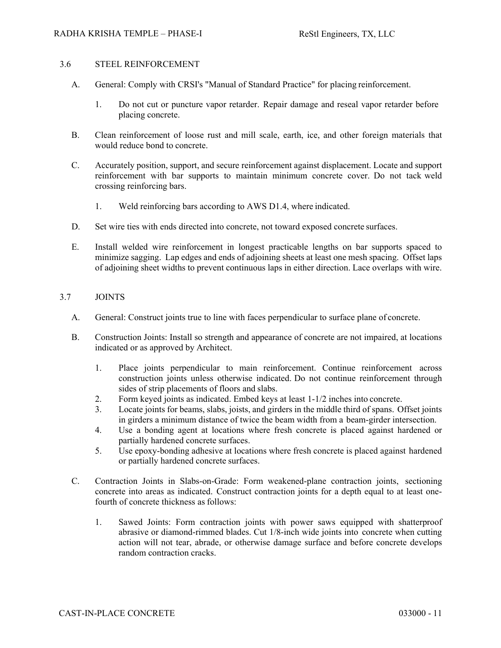# 3.6 STEEL REINFORCEMENT

- A. General: Comply with CRSI's "Manual of Standard Practice" for placing reinforcement.
	- 1. Do not cut or puncture vapor retarder. Repair damage and reseal vapor retarder before placing concrete.
- B. Clean reinforcement of loose rust and mill scale, earth, ice, and other foreign materials that would reduce bond to concrete.
- C. Accurately position, support, and secure reinforcement against displacement. Locate and support reinforcement with bar supports to maintain minimum concrete cover. Do not tack weld crossing reinforcing bars.
	- 1. Weld reinforcing bars according to AWS D1.4, where indicated.
- D. Set wire ties with ends directed into concrete, not toward exposed concrete surfaces.
- E. Install welded wire reinforcement in longest practicable lengths on bar supports spaced to minimize sagging. Lap edges and ends of adjoining sheets at least one mesh spacing. Offset laps of adjoining sheet widths to prevent continuous laps in either direction. Lace overlaps with wire.

# 3.7 JOINTS

- A. General: Construct joints true to line with faces perpendicular to surface plane of concrete.
- B. Construction Joints: Install so strength and appearance of concrete are not impaired, at locations indicated or as approved by Architect.
	- 1. Place joints perpendicular to main reinforcement. Continue reinforcement across construction joints unless otherwise indicated. Do not continue reinforcement through sides of strip placements of floors and slabs.
	- 2. Form keyed joints as indicated. Embed keys at least 1-1/2 inches into concrete.
	- 3. Locate joints for beams, slabs, joists, and girders in the middle third of spans. Offset joints in girders a minimum distance of twice the beam width from a beam-girder intersection.
	- 4. Use a bonding agent at locations where fresh concrete is placed against hardened or partially hardened concrete surfaces.
	- 5. Use epoxy-bonding adhesive at locations where fresh concrete is placed against hardened or partially hardened concrete surfaces.
- C. Contraction Joints in Slabs-on-Grade: Form weakened-plane contraction joints, sectioning concrete into areas as indicated. Construct contraction joints for a depth equal to at least onefourth of concrete thickness as follows:
	- 1. Sawed Joints: Form contraction joints with power saws equipped with shatterproof abrasive or diamond-rimmed blades. Cut 1/8-inch wide joints into concrete when cutting action will not tear, abrade, or otherwise damage surface and before concrete develops random contraction cracks.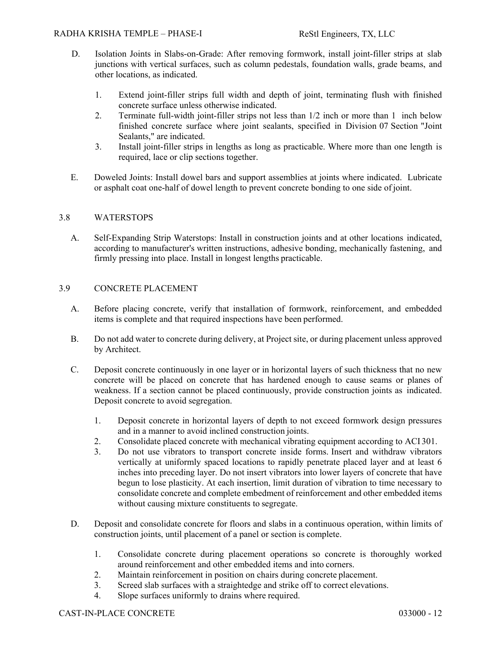- D. Isolation Joints in Slabs-on-Grade: After removing formwork, install joint-filler strips at slab junctions with vertical surfaces, such as column pedestals, foundation walls, grade beams, and other locations, as indicated.
	- 1. Extend joint-filler strips full width and depth of joint, terminating flush with finished concrete surface unless otherwise indicated.
	- 2. Terminate full-width joint-filler strips not less than 1/2 inch or more than 1 inch below finished concrete surface where joint sealants, specified in Division 07 Section "Joint Sealants," are indicated.
	- 3. Install joint-filler strips in lengths as long as practicable. Where more than one length is required, lace or clip sections together.
- E. Doweled Joints: Install dowel bars and support assemblies at joints where indicated. Lubricate or asphalt coat one-half of dowel length to prevent concrete bonding to one side of joint.

# 3.8 WATERSTOPS

A. Self-Expanding Strip Waterstops: Install in construction joints and at other locations indicated, according to manufacturer's written instructions, adhesive bonding, mechanically fastening, and firmly pressing into place. Install in longest lengths practicable.

# 3.9 CONCRETE PLACEMENT

- A. Before placing concrete, verify that installation of formwork, reinforcement, and embedded items is complete and that required inspections have been performed.
- B. Do not add water to concrete during delivery, at Project site, or during placement unless approved by Architect.
- C. Deposit concrete continuously in one layer or in horizontal layers of such thickness that no new concrete will be placed on concrete that has hardened enough to cause seams or planes of weakness. If a section cannot be placed continuously, provide construction joints as indicated. Deposit concrete to avoid segregation.
	- 1. Deposit concrete in horizontal layers of depth to not exceed formwork design pressures and in a manner to avoid inclined construction joints.
	- 2. Consolidate placed concrete with mechanical vibrating equipment according to ACI 301.
	- 3. Do not use vibrators to transport concrete inside forms. Insert and withdraw vibrators vertically at uniformly spaced locations to rapidly penetrate placed layer and at least 6 inches into preceding layer. Do not insert vibrators into lower layers of concrete that have begun to lose plasticity. At each insertion, limit duration of vibration to time necessary to consolidate concrete and complete embedment of reinforcement and other embedded items without causing mixture constituents to segregate.
- D. Deposit and consolidate concrete for floors and slabs in a continuous operation, within limits of construction joints, until placement of a panel or section is complete.
	- 1. Consolidate concrete during placement operations so concrete is thoroughly worked around reinforcement and other embedded items and into corners.
	- 2. Maintain reinforcement in position on chairs during concrete placement.
	- 3. Screed slab surfaces with a straightedge and strike off to correct elevations.
	- 4. Slope surfaces uniformly to drains where required.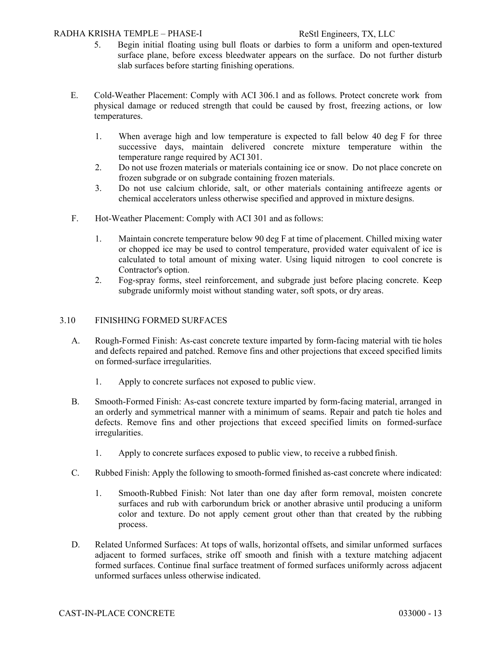# RADHA KRISHA TEMPLE – PHASE-I ReStl Engineers, TX, LLC

- 5. Begin initial floating using bull floats or darbies to form a uniform and open-textured surface plane, before excess bleedwater appears on the surface. Do not further disturb slab surfaces before starting finishing operations.
- E. Cold-Weather Placement: Comply with ACI 306.1 and as follows. Protect concrete work from physical damage or reduced strength that could be caused by frost, freezing actions, or low temperatures.
	- 1. When average high and low temperature is expected to fall below 40 deg F for three successive days, maintain delivered concrete mixture temperature within the temperature range required by ACI 301.
	- 2. Do not use frozen materials or materials containing ice or snow. Do not place concrete on frozen subgrade or on subgrade containing frozen materials.
	- 3. Do not use calcium chloride, salt, or other materials containing antifreeze agents or chemical accelerators unless otherwise specified and approved in mixture designs.
- F. Hot-Weather Placement: Comply with ACI 301 and as follows:
	- 1. Maintain concrete temperature below 90 deg F at time of placement. Chilled mixing water or chopped ice may be used to control temperature, provided water equivalent of ice is calculated to total amount of mixing water. Using liquid nitrogen to cool concrete is Contractor's option.
	- 2. Fog-spray forms, steel reinforcement, and subgrade just before placing concrete. Keep subgrade uniformly moist without standing water, soft spots, or dry areas.

#### 3.10 FINISHING FORMED SURFACES

- A. Rough-Formed Finish: As-cast concrete texture imparted by form-facing material with tie holes and defects repaired and patched. Remove fins and other projections that exceed specified limits on formed-surface irregularities.
	- 1. Apply to concrete surfaces not exposed to public view.
- B. Smooth-Formed Finish: As-cast concrete texture imparted by form-facing material, arranged in an orderly and symmetrical manner with a minimum of seams. Repair and patch tie holes and defects. Remove fins and other projections that exceed specified limits on formed-surface irregularities.
	- 1. Apply to concrete surfaces exposed to public view, to receive a rubbed finish.
- C. Rubbed Finish: Apply the following to smooth-formed finished as-cast concrete where indicated:
	- 1. Smooth-Rubbed Finish: Not later than one day after form removal, moisten concrete surfaces and rub with carborundum brick or another abrasive until producing a uniform color and texture. Do not apply cement grout other than that created by the rubbing process.
- D. Related Unformed Surfaces: At tops of walls, horizontal offsets, and similar unformed surfaces adjacent to formed surfaces, strike off smooth and finish with a texture matching adjacent formed surfaces. Continue final surface treatment of formed surfaces uniformly across adjacent unformed surfaces unless otherwise indicated.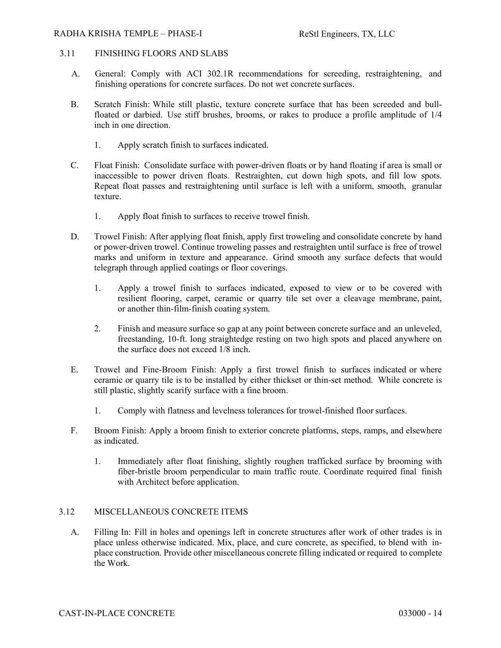#### RADHA KRISHA TEMPLE – PHASE-I Restl Engineers, TX, LLC

# 3.11 FINISHING FLOORS AND SLABS

- A. General: Comply with ACI 302.1R recommendations for screeding, restraightening, and finishing operations for concrete surfaces. Do not wet concrete surfaces.
- B. Scratch Finish: While still plastic, texture concrete surface that has been screeded and bullfloated or darbied. Use stiff brushes, brooms, or rakes to produce a profile amplitude of 1/4 inch in one direction.
	- 1. Apply scratch finish to surfaces indicated.
- C. Float Finish: Consolidate surface with power-driven floats or by hand floating if area is small or inaccessible to power driven floats. Restraighten, cut down high spots, and fill low spots. Repeat float passes and restraightening until surface is left with a uniform, smooth, granular texture.
	- 1. Apply float finish to surfaces to receive trowel finish.
- D. Trowel Finish: After applying float finish, apply first troweling and consolidate concrete by hand or power-driven trowel. Continue troweling passes and restraighten until surface is free of trowel marks and uniform in texture and appearance. Grind smooth any surface defects that would telegraph through applied coatings or floor coverings.
	- 1. Apply a trowel finish to surfaces indicated, exposed to view or to be covered with resilient flooring, carpet, ceramic or quarry tile set over a cleavage membrane, paint, or another thin-film-finish coating system.
	- 2. Finish and measure surface so gap at any point between concrete surface and an unleveled, freestanding, 10-ft. long straightedge resting on two high spots and placed anywhere on the surface does not exceed 1/8 inch.
- E. Trowel and Fine-Broom Finish: Apply a first trowel finish to surfaces indicated or where ceramic or quarry tile is to be installed by either thickset or thin-set method. While concrete is still plastic, slightly scarify surface with a fine broom.
	- 1. Comply with flatness and levelness tolerances for trowel-finished floor surfaces.
- F. Broom Finish: Apply a broom finish to exterior concrete platforms, steps, ramps, and elsewhere as indicated.
	- 1. Immediately after float finishing, slightly roughen trafficked surface by brooming with fiber-bristle broom perpendicular to main traffic route. Coordinate required final finish with Architect before application.

#### 3.12 MISCELLANEOUS CONCRETE ITEMS

A. Filling In: Fill in holes and openings left in concrete structures after work of other trades is in place unless otherwise indicated. Mix, place, and cure concrete, as specified, to blend with inplace construction. Provide other miscellaneous concrete filling indicated or required to complete the Work.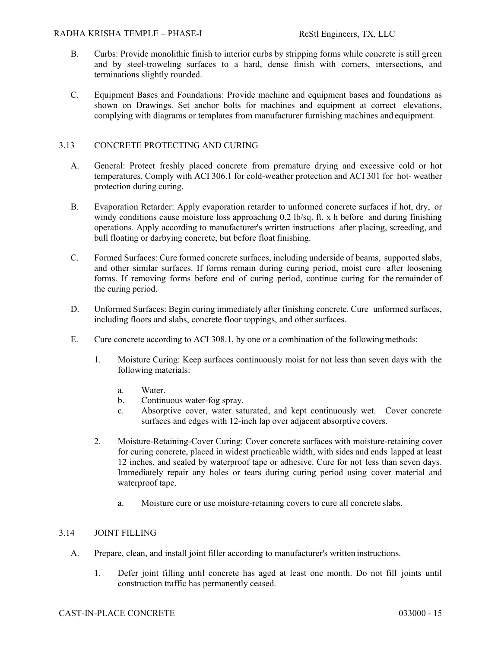- B. Curbs: Provide monolithic finish to interior curbs by stripping forms while concrete is still green and by steel-troweling surfaces to a hard, dense finish with corners, intersections, and terminations slightly rounded.
- C. Equipment Bases and Foundations: Provide machine and equipment bases and foundations as shown on Drawings. Set anchor bolts for machines and equipment at correct elevations, complying with diagrams or templates from manufacturer furnishing machines and equipment.

# 3.13 CONCRETE PROTECTING AND CURING

- A. General: Protect freshly placed concrete from premature drying and excessive cold or hot temperatures. Comply with ACI 306.1 for cold-weather protection and ACI 301 for hot- weather protection during curing.
- B. Evaporation Retarder: Apply evaporation retarder to unformed concrete surfaces if hot, dry, or windy conditions cause moisture loss approaching 0.2 lb/sq. ft. x h before and during finishing operations. Apply according to manufacturer's written instructions after placing, screeding, and bull floating or darbying concrete, but before float finishing.
- C. Formed Surfaces: Cure formed concrete surfaces, including underside of beams, supported slabs, and other similar surfaces. If forms remain during curing period, moist cure after loosening forms. If removing forms before end of curing period, continue curing for the remainder of the curing period.
- D. Unformed Surfaces: Begin curing immediately after finishing concrete. Cure unformed surfaces, including floors and slabs, concrete floor toppings, and other surfaces.
- E. Cure concrete according to ACI 308.1, by one or a combination of the following methods:
	- 1. Moisture Curing: Keep surfaces continuously moist for not less than seven days with the following materials:
		- a. Water.
		- b. Continuous water-fog spray.
		- c. Absorptive cover, water saturated, and kept continuously wet. Cover concrete surfaces and edges with 12-inch lap over adjacent absorptive covers.
	- 2. Moisture-Retaining-Cover Curing: Cover concrete surfaces with moisture-retaining cover for curing concrete, placed in widest practicable width, with sides and ends lapped at least 12 inches, and sealed by waterproof tape or adhesive. Cure for not less than seven days. Immediately repair any holes or tears during curing period using cover material and waterproof tape.
		- a. Moisture cure or use moisture-retaining covers to cure all concrete slabs.

# 3.14 JOINT FILLING

- A. Prepare, clean, and install joint filler according to manufacturer's written instructions.
	- 1. Defer joint filling until concrete has aged at least one month. Do not fill joints until construction traffic has permanently ceased.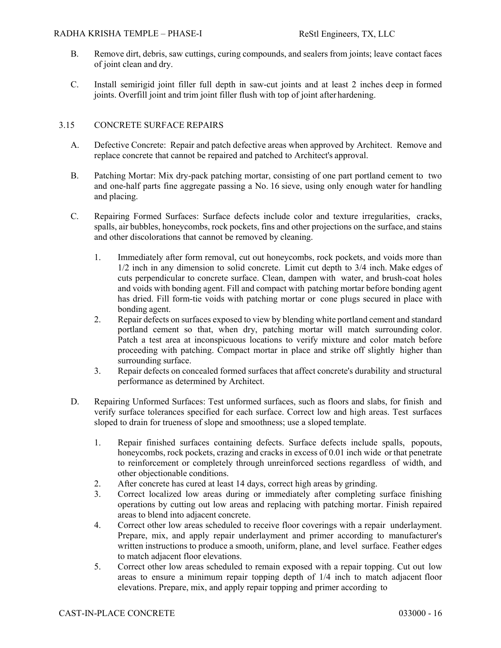- B. Remove dirt, debris, saw cuttings, curing compounds, and sealers from joints; leave contact faces of joint clean and dry.
- C. Install semirigid joint filler full depth in saw-cut joints and at least 2 inches deep in formed joints. Overfill joint and trim joint filler flush with top of joint after hardening.

# 3.15 CONCRETE SURFACE REPAIRS

- A. Defective Concrete: Repair and patch defective areas when approved by Architect. Remove and replace concrete that cannot be repaired and patched to Architect's approval.
- B. Patching Mortar: Mix dry-pack patching mortar, consisting of one part portland cement to two and one-half parts fine aggregate passing a No. 16 sieve, using only enough water for handling and placing.
- C. Repairing Formed Surfaces: Surface defects include color and texture irregularities, cracks, spalls, air bubbles, honeycombs, rock pockets, fins and other projections on the surface, and stains and other discolorations that cannot be removed by cleaning.
	- 1. Immediately after form removal, cut out honeycombs, rock pockets, and voids more than 1/2 inch in any dimension to solid concrete. Limit cut depth to 3/4 inch. Make edges of cuts perpendicular to concrete surface. Clean, dampen with water, and brush-coat holes and voids with bonding agent. Fill and compact with patching mortar before bonding agent has dried. Fill form-tie voids with patching mortar or cone plugs secured in place with bonding agent.
	- 2. Repair defects on surfaces exposed to view by blending white portland cement and standard portland cement so that, when dry, patching mortar will match surrounding color. Patch a test area at inconspicuous locations to verify mixture and color match before proceeding with patching. Compact mortar in place and strike off slightly higher than surrounding surface.
	- 3. Repair defects on concealed formed surfaces that affect concrete's durability and structural performance as determined by Architect.
- D. Repairing Unformed Surfaces: Test unformed surfaces, such as floors and slabs, for finish and verify surface tolerances specified for each surface. Correct low and high areas. Test surfaces sloped to drain for trueness of slope and smoothness; use a sloped template.
	- 1. Repair finished surfaces containing defects. Surface defects include spalls, popouts, honeycombs, rock pockets, crazing and cracks in excess of 0.01 inch wide or that penetrate to reinforcement or completely through unreinforced sections regardless of width, and other objectionable conditions.
	- 2. After concrete has cured at least 14 days, correct high areas by grinding.
	- 3. Correct localized low areas during or immediately after completing surface finishing operations by cutting out low areas and replacing with patching mortar. Finish repaired areas to blend into adjacent concrete.
	- 4. Correct other low areas scheduled to receive floor coverings with a repair underlayment. Prepare, mix, and apply repair underlayment and primer according to manufacturer's written instructions to produce a smooth, uniform, plane, and level surface. Feather edges to match adjacent floor elevations.
	- 5. Correct other low areas scheduled to remain exposed with a repair topping. Cut out low areas to ensure a minimum repair topping depth of 1/4 inch to match adjacent floor elevations. Prepare, mix, and apply repair topping and primer according to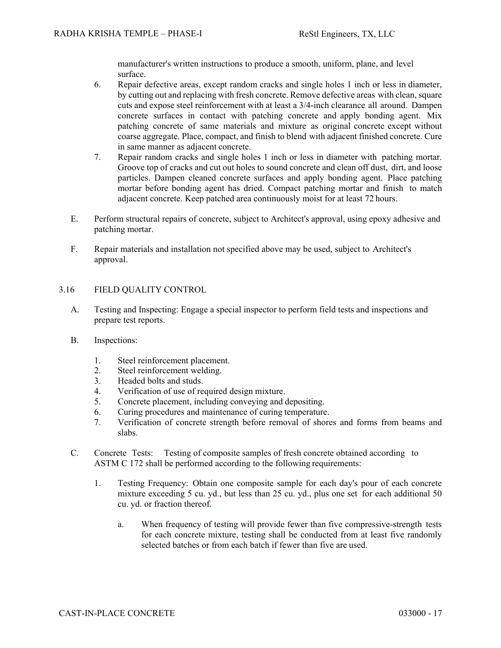manufacturer's written instructions to produce a smooth, uniform, plane, and level surface.

- 6. Repair defective areas, except random cracks and single holes 1 inch or less in diameter, by cutting out and replacing with fresh concrete. Remove defective areas with clean, square cuts and expose steel reinforcement with at least a 3/4-inch clearance all around. Dampen concrete surfaces in contact with patching concrete and apply bonding agent. Mix patching concrete of same materials and mixture as original concrete except without coarse aggregate. Place, compact, and finish to blend with adjacent finished concrete. Cure in same manner as adjacent concrete.
- 7. Repair random cracks and single holes 1 inch or less in diameter with patching mortar. Groove top of cracks and cut out holes to sound concrete and clean off dust, dirt, and loose particles. Dampen cleaned concrete surfaces and apply bonding agent. Place patching mortar before bonding agent has dried. Compact patching mortar and finish to match adjacent concrete. Keep patched area continuously moist for at least 72 hours.
- E. Perform structural repairs of concrete, subject to Architect's approval, using epoxy adhesive and patching mortar.
- F. Repair materials and installation not specified above may be used, subject to Architect's approval.

# 3.16 FIELD QUALITY CONTROL

- A. Testing and Inspecting: Engage a special inspector to perform field tests and inspections and prepare test reports.
- B. Inspections:
	- 1. Steel reinforcement placement.
	- 2. Steel reinforcement welding.
	- 3. Headed bolts and studs.
	- 4. Verification of use of required design mixture.
	- 5. Concrete placement, including conveying and depositing.
	- 6. Curing procedures and maintenance of curing temperature.
	- 7. Verification of concrete strength before removal of shores and forms from beams and slabs.
- C. Concrete Tests: Testing of composite samples of fresh concrete obtained according to ASTM C 172 shall be performed according to the following requirements:
	- 1. Testing Frequency: Obtain one composite sample for each day's pour of each concrete mixture exceeding 5 cu. yd., but less than 25 cu. yd., plus one set for each additional 50 cu. yd. or fraction thereof.
		- a. When frequency of testing will provide fewer than five compressive-strength tests for each concrete mixture, testing shall be conducted from at least five randomly selected batches or from each batch if fewer than five are used.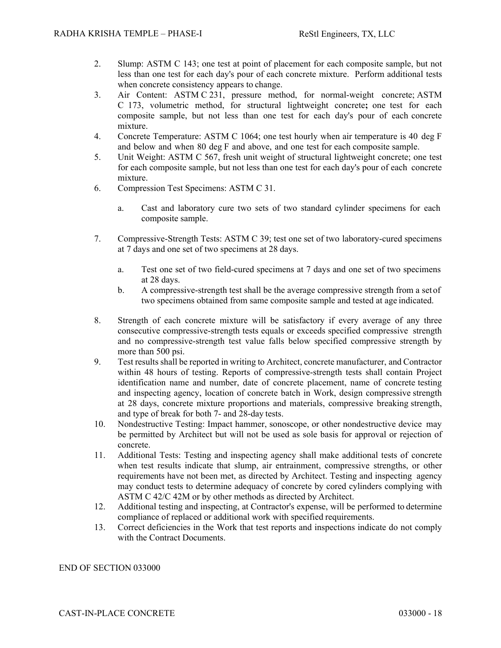- 2. Slump: ASTM C 143; one test at point of placement for each composite sample, but not less than one test for each day's pour of each concrete mixture. Perform additional tests when concrete consistency appears to change.
- 3. Air Content: ASTM C 231, pressure method, for normal-weight concrete; ASTM C 173, volumetric method, for structural lightweight concrete**;** one test for each composite sample, but not less than one test for each day's pour of each concrete mixture.
- 4. Concrete Temperature: ASTM C 1064; one test hourly when air temperature is 40 deg F and below and when 80 deg F and above, and one test for each composite sample.
- 5. Unit Weight: ASTM C 567, fresh unit weight of structural lightweight concrete; one test for each composite sample, but not less than one test for each day's pour of each concrete mixture.
- 6. Compression Test Specimens: ASTM C 31.
	- a. Cast and laboratory cure two sets of two standard cylinder specimens for each composite sample.
- 7. Compressive-Strength Tests: ASTM C 39; test one set of two laboratory-cured specimens at 7 days and one set of two specimens at 28 days.
	- a. Test one set of two field-cured specimens at 7 days and one set of two specimens at 28 days.
	- b. A compressive-strength test shall be the average compressive strength from a set of two specimens obtained from same composite sample and tested at age indicated.
- 8. Strength of each concrete mixture will be satisfactory if every average of any three consecutive compressive-strength tests equals or exceeds specified compressive strength and no compressive-strength test value falls below specified compressive strength by more than 500 psi.
- 9. Test results shall be reported in writing to Architect, concrete manufacturer, and Contractor within 48 hours of testing. Reports of compressive-strength tests shall contain Project identification name and number, date of concrete placement, name of concrete testing and inspecting agency, location of concrete batch in Work, design compressive strength at 28 days, concrete mixture proportions and materials, compressive breaking strength, and type of break for both 7- and 28-day tests.
- 10. Nondestructive Testing: Impact hammer, sonoscope, or other nondestructive device may be permitted by Architect but will not be used as sole basis for approval or rejection of concrete.
- 11. Additional Tests: Testing and inspecting agency shall make additional tests of concrete when test results indicate that slump, air entrainment, compressive strengths, or other requirements have not been met, as directed by Architect. Testing and inspecting agency may conduct tests to determine adequacy of concrete by cored cylinders complying with ASTM C 42/C 42M or by other methods as directed by Architect.
- 12. Additional testing and inspecting, at Contractor's expense, will be performed to determine compliance of replaced or additional work with specified requirements.
- 13. Correct deficiencies in the Work that test reports and inspections indicate do not comply with the Contract Documents.

# END OF SECTION 033000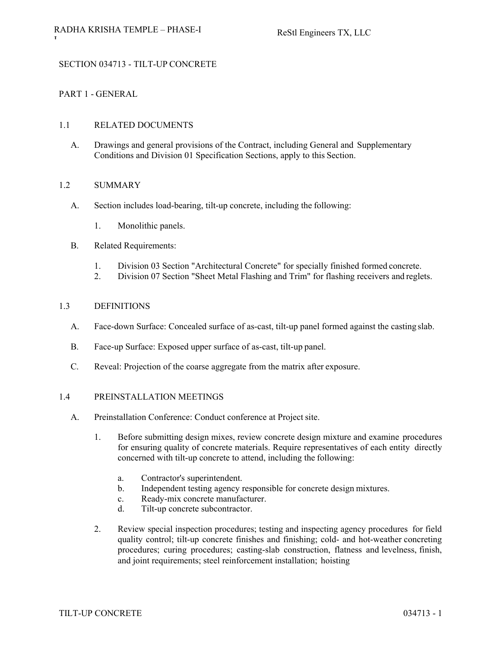# SECTION 034713 - TILT-UP CONCRETE

# PART 1 - GENERAL

# 1.1 RELATED DOCUMENTS

A. Drawings and general provisions of the Contract, including General and Supplementary Conditions and Division 01 Specification Sections, apply to this Section.

#### 1.2 SUMMARY

- A. Section includes load-bearing, tilt-up concrete, including the following:
	- 1. Monolithic panels.
- B. Related Requirements:
	- 1. Division 03 Section "Architectural Concrete" for specially finished formed concrete.
	- 2. Division 07 Section "Sheet Metal Flashing and Trim" for flashing receivers and reglets.

#### 1.3 DEFINITIONS

- A. Face-down Surface: Concealed surface of as-cast, tilt-up panel formed against the casting slab.
- B. Face-up Surface: Exposed upper surface of as-cast, tilt-up panel.
- C. Reveal: Projection of the coarse aggregate from the matrix after exposure.

#### 1.4 PREINSTALLATION MEETINGS

- A. Preinstallation Conference: Conduct conference at Project site.
	- 1. Before submitting design mixes, review concrete design mixture and examine procedures for ensuring quality of concrete materials. Require representatives of each entity directly concerned with tilt-up concrete to attend, including the following:
		- a. Contractor's superintendent.
		- b. Independent testing agency responsible for concrete design mixtures.
		- c. Ready-mix concrete manufacturer.
		- d. Tilt-up concrete subcontractor.
	- 2. Review special inspection procedures; testing and inspecting agency procedures for field quality control; tilt-up concrete finishes and finishing; cold- and hot-weather concreting procedures; curing procedures; casting-slab construction, flatness and levelness, finish, and joint requirements; steel reinforcement installation; hoisting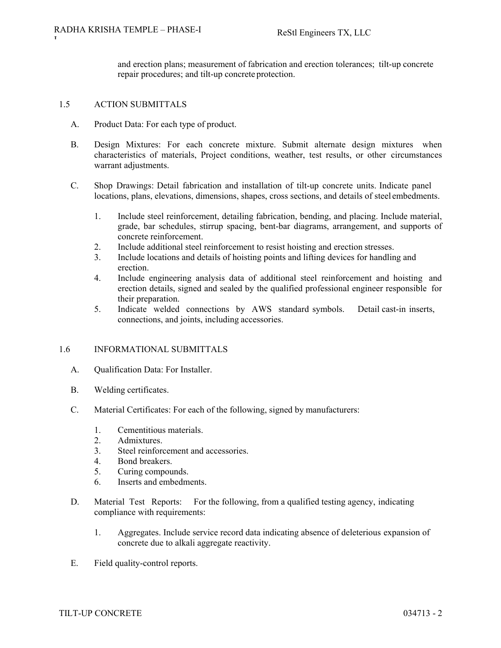and erection plans; measurement of fabrication and erection tolerances; tilt-up concrete repair procedures; and tilt-up concrete protection.

#### 1.5 ACTION SUBMITTALS

- A. Product Data: For each type of product.
- B. Design Mixtures: For each concrete mixture. Submit alternate design mixtures when characteristics of materials, Project conditions, weather, test results, or other circumstances warrant adjustments.
- C. Shop Drawings: Detail fabrication and installation of tilt-up concrete units. Indicate panel locations, plans, elevations, dimensions, shapes, cross sections, and details of steel embedments.
	- 1. Include steel reinforcement, detailing fabrication, bending, and placing. Include material, grade, bar schedules, stirrup spacing, bent-bar diagrams, arrangement, and supports of concrete reinforcement.
	- 2. Include additional steel reinforcement to resist hoisting and erection stresses.
	- 3. Include locations and details of hoisting points and lifting devices for handling and erection.
	- 4. Include engineering analysis data of additional steel reinforcement and hoisting and erection details, signed and sealed by the qualified professional engineer responsible for their preparation.
	- 5. Indicate welded connections by AWS standard symbols. Detail cast-in inserts, connections, and joints, including accessories.

#### 1.6 INFORMATIONAL SUBMITTALS

- A. Qualification Data: For Installer.
- B. Welding certificates.
- C. Material Certificates: For each of the following, signed by manufacturers:
	- 1. Cementitious materials.
	- 2. Admixtures.
	- 3. Steel reinforcement and accessories.
	- 4. Bond breakers.
	- 5. Curing compounds.
	- 6. Inserts and embedments.
- D. Material Test Reports: For the following, from a qualified testing agency, indicating compliance with requirements:
	- 1. Aggregates. Include service record data indicating absence of deleterious expansion of concrete due to alkali aggregate reactivity.
- E. Field quality-control reports.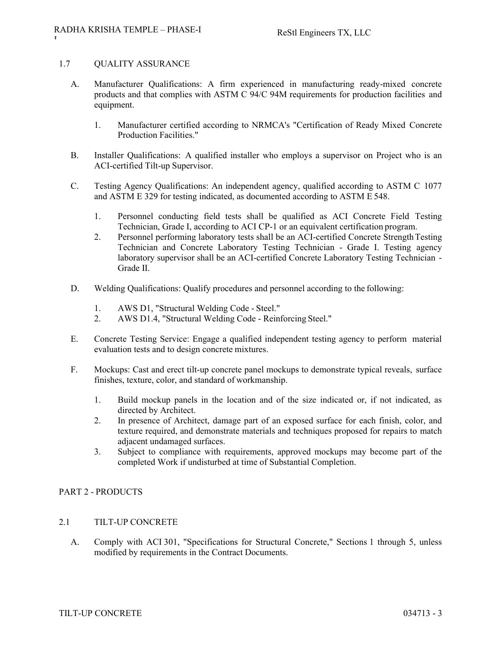#### 1.7 QUALITY ASSURANCE

- A. Manufacturer Qualifications: A firm experienced in manufacturing ready-mixed concrete products and that complies with ASTM C 94/C 94M requirements for production facilities and equipment.
	- 1. Manufacturer certified according to NRMCA's "Certification of Ready Mixed Concrete Production Facilities."
- B. Installer Qualifications: A qualified installer who employs a supervisor on Project who is an ACI-certified Tilt-up Supervisor.
- C. Testing Agency Qualifications: An independent agency, qualified according to ASTM C 1077 and ASTM E 329 for testing indicated, as documented according to ASTM E 548.
	- 1. Personnel conducting field tests shall be qualified as ACI Concrete Field Testing Technician, Grade I, according to ACI CP-1 or an equivalent certification program.
	- 2. Personnel performing laboratory tests shall be an ACI-certified Concrete Strength Testing Technician and Concrete Laboratory Testing Technician - Grade I. Testing agency laboratory supervisor shall be an ACI-certified Concrete Laboratory Testing Technician - Grade II.
- D. Welding Qualifications: Qualify procedures and personnel according to the following:
	- 1. AWS D1, "Structural Welding Code Steel."
	- 2. AWS D1.4, "Structural Welding Code Reinforcing Steel."
- E. Concrete Testing Service: Engage a qualified independent testing agency to perform material evaluation tests and to design concrete mixtures.
- F. Mockups: Cast and erect tilt-up concrete panel mockups to demonstrate typical reveals, surface finishes, texture, color, and standard of workmanship.
	- 1. Build mockup panels in the location and of the size indicated or, if not indicated, as directed by Architect.
	- 2. In presence of Architect, damage part of an exposed surface for each finish, color, and texture required, and demonstrate materials and techniques proposed for repairs to match adjacent undamaged surfaces.
	- 3. Subject to compliance with requirements, approved mockups may become part of the completed Work if undisturbed at time of Substantial Completion.

# PART 2 - PRODUCTS

# 2.1 TILT-UP CONCRETE

A. Comply with ACI 301, "Specifications for Structural Concrete," Sections 1 through 5, unless modified by requirements in the Contract Documents.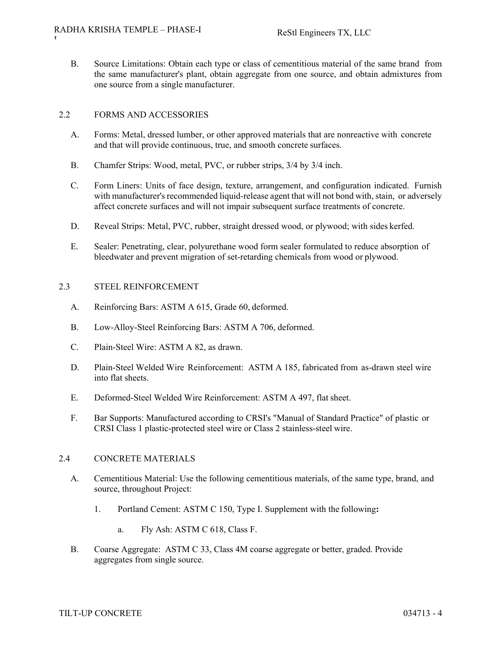B. Source Limitations: Obtain each type or class of cementitious material of the same brand from the same manufacturer's plant, obtain aggregate from one source, and obtain admixtures from one source from a single manufacturer.

# 2.2 FORMS AND ACCESSORIES

- A. Forms: Metal, dressed lumber, or other approved materials that are nonreactive with concrete and that will provide continuous, true, and smooth concrete surfaces.
- B. Chamfer Strips: Wood, metal, PVC, or rubber strips, 3/4 by 3/4 inch.
- C. Form Liners: Units of face design, texture, arrangement, and configuration indicated. Furnish with manufacturer's recommended liquid-release agent that will not bond with, stain, or adversely affect concrete surfaces and will not impair subsequent surface treatments of concrete.
- D. Reveal Strips: Metal, PVC, rubber, straight dressed wood, or plywood; with sides kerfed.
- E. Sealer: Penetrating, clear, polyurethane wood form sealer formulated to reduce absorption of bleedwater and prevent migration of set-retarding chemicals from wood or plywood.

#### 2.3 STEEL REINFORCEMENT

- A. Reinforcing Bars: ASTM A 615, Grade 60, deformed.
- B. Low-Alloy-Steel Reinforcing Bars: ASTM A 706, deformed.
- C. Plain-Steel Wire: ASTM A 82, as drawn.
- D. Plain-Steel Welded Wire Reinforcement: ASTM A 185, fabricated from as-drawn steel wire into flat sheets.
- E. Deformed-Steel Welded Wire Reinforcement: ASTM A 497, flat sheet.
- F. Bar Supports: Manufactured according to CRSI's "Manual of Standard Practice" of plastic or CRSI Class 1 plastic-protected steel wire or Class 2 stainless-steel wire.

#### 2.4 CONCRETE MATERIALS

- A. Cementitious Material: Use the following cementitious materials, of the same type, brand, and source, throughout Project:
	- 1. Portland Cement: ASTM C 150, Type I. Supplement with the following**:**
		- a. Fly Ash: ASTM C 618, Class F.
- B. Coarse Aggregate: ASTM C 33, Class 4M coarse aggregate or better, graded. Provide aggregates from single source.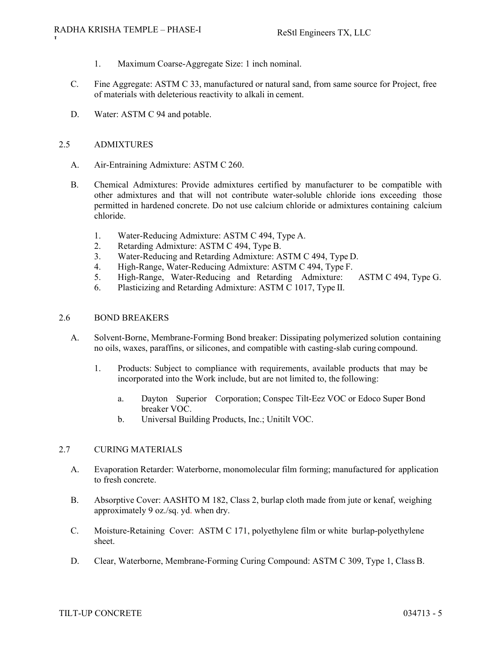- 1. Maximum Coarse-Aggregate Size: 1 inch nominal.
- C. Fine Aggregate: ASTM C 33, manufactured or natural sand, from same source for Project, free of materials with deleterious reactivity to alkali in cement.
- D. Water: ASTM C 94 and potable.

# 2.5 ADMIXTURES

- A. Air-Entraining Admixture: ASTM C 260.
- B. Chemical Admixtures: Provide admixtures certified by manufacturer to be compatible with other admixtures and that will not contribute water-soluble chloride ions exceeding those permitted in hardened concrete. Do not use calcium chloride or admixtures containing calcium chloride.
	- 1. Water-Reducing Admixture: ASTM C 494, Type A.
	- 2. Retarding Admixture: ASTM C 494, Type B.
	- 3. Water-Reducing and Retarding Admixture: ASTM C 494, Type D.
	- 4. High-Range, Water-Reducing Admixture: ASTM C 494, Type F.
	- 5. High-Range, Water-Reducing and Retarding Admixture: ASTM C 494, Type G.
	- 6. Plasticizing and Retarding Admixture: ASTM C 1017, Type II.

# 2.6 BOND BREAKERS

- A. Solvent-Borne, Membrane-Forming Bond breaker: Dissipating polymerized solution containing no oils, waxes, paraffins, or silicones, and compatible with casting-slab curing compound.
	- 1. Products: Subject to compliance with requirements, available products that may be incorporated into the Work include, but are not limited to, the following:
		- a. Dayton Superior Corporation; Conspec Tilt-Eez VOC or Edoco Super Bond breaker VOC.
		- b. Universal Building Products, Inc.; Unitilt VOC.

# 2.7 CURING MATERIALS

- A. Evaporation Retarder: Waterborne, monomolecular film forming; manufactured for application to fresh concrete.
- B. Absorptive Cover: AASHTO M 182, Class 2, burlap cloth made from jute or kenaf, weighing approximately 9 oz./sq. yd. when dry.
- C. Moisture-Retaining Cover: ASTM C 171, polyethylene film or white burlap-polyethylene sheet.
- D. Clear, Waterborne, Membrane-Forming Curing Compound: ASTM C 309, Type 1, Class B.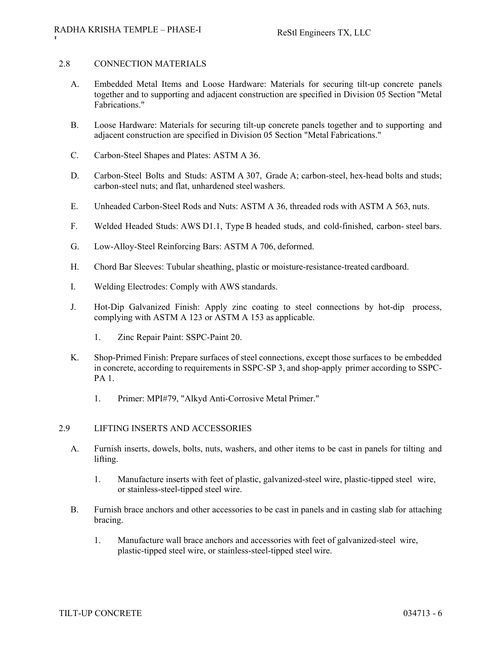#### 2.8 CONNECTION MATERIALS

- A. Embedded Metal Items and Loose Hardware: Materials for securing tilt-up concrete panels together and to supporting and adjacent construction are specified in Division 05 Section "Metal Fabrications."
- B. Loose Hardware: Materials for securing tilt-up concrete panels together and to supporting and adjacent construction are specified in Division 05 Section "Metal Fabrications."
- C. Carbon-Steel Shapes and Plates: ASTM A 36.
- D. Carbon-Steel Bolts and Studs: ASTM A 307, Grade A; carbon-steel, hex-head bolts and studs; carbon-steel nuts; and flat, unhardened steel washers.
- E. Unheaded Carbon-Steel Rods and Nuts: ASTM A 36, threaded rods with ASTM A 563, nuts.
- F. Welded Headed Studs: AWS D1.1, Type B headed studs, and cold-finished, carbon- steel bars.
- G. Low-Alloy-Steel Reinforcing Bars: ASTM A 706, deformed.
- H. Chord Bar Sleeves: Tubular sheathing, plastic or moisture-resistance-treated cardboard.
- I. Welding Electrodes: Comply with AWS standards.
- J. Hot-Dip Galvanized Finish: Apply zinc coating to steel connections by hot-dip process, complying with ASTM A 123 or ASTM A 153 as applicable.
	- 1. Zinc Repair Paint: SSPC-Paint 20.
- K. Shop-Primed Finish: Prepare surfaces of steel connections, except those surfaces to be embedded in concrete, according to requirements in SSPC-SP 3, and shop-apply primer according to SSPC-PA 1.
	- 1. Primer: MPI#79, "Alkyd Anti-Corrosive Metal Primer."

#### 2.9 LIFTING INSERTS AND ACCESSORIES

- A. Furnish inserts, dowels, bolts, nuts, washers, and other items to be cast in panels for tilting and lifting.
	- 1. Manufacture inserts with feet of plastic, galvanized-steel wire, plastic-tipped steel wire, or stainless-steel-tipped steel wire.
- B. Furnish brace anchors and other accessories to be cast in panels and in casting slab for attaching bracing.
	- 1. Manufacture wall brace anchors and accessories with feet of galvanized-steel wire, plastic-tipped steel wire, or stainless-steel-tipped steel wire.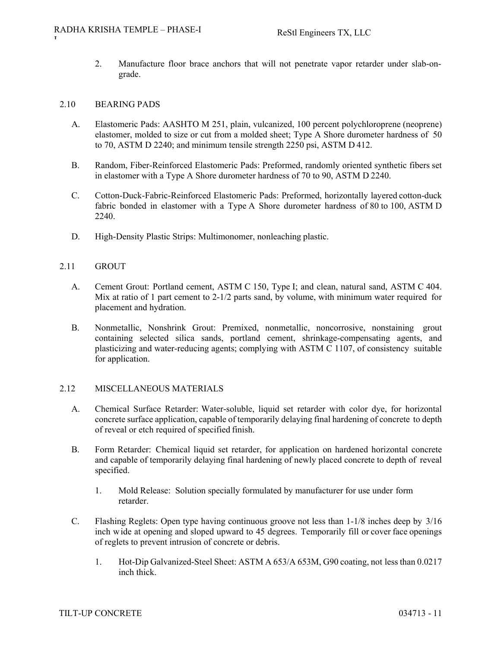2. Manufacture floor brace anchors that will not penetrate vapor retarder under slab-ongrade.

#### 2.10 BEARING PADS

- A. Elastomeric Pads: AASHTO M 251, plain, vulcanized, 100 percent polychloroprene (neoprene) elastomer, molded to size or cut from a molded sheet; Type A Shore durometer hardness of 50 to 70, ASTM D 2240; and minimum tensile strength 2250 psi, ASTM D 412.
- B. Random, Fiber-Reinforced Elastomeric Pads: Preformed, randomly oriented synthetic fibers set in elastomer with a Type A Shore durometer hardness of 70 to 90, ASTM D 2240.
- C. Cotton-Duck-Fabric-Reinforced Elastomeric Pads: Preformed, horizontally layered cotton-duck fabric bonded in elastomer with a Type A Shore durometer hardness of 80 to 100, ASTM D 2240.
- D. High-Density Plastic Strips: Multimonomer, nonleaching plastic.

## 2.11 GROUT

- A. Cement Grout: Portland cement, ASTM C 150, Type I; and clean, natural sand, ASTM C 404. Mix at ratio of 1 part cement to 2-1/2 parts sand, by volume, with minimum water required for placement and hydration.
- B. Nonmetallic, Nonshrink Grout: Premixed, nonmetallic, noncorrosive, nonstaining grout containing selected silica sands, portland cement, shrinkage-compensating agents, and plasticizing and water-reducing agents; complying with ASTM C 1107, of consistency suitable for application.

# 2.12 MISCELLANEOUS MATERIALS

- A. Chemical Surface Retarder: Water-soluble, liquid set retarder with color dye, for horizontal concrete surface application, capable of temporarily delaying final hardening of concrete to depth of reveal or etch required of specified finish.
- B. Form Retarder: Chemical liquid set retarder, for application on hardened horizontal concrete and capable of temporarily delaying final hardening of newly placed concrete to depth of reveal specified.
	- 1. Mold Release: Solution specially formulated by manufacturer for use under form retarder.
- C. Flashing Reglets: Open type having continuous groove not less than 1-1/8 inches deep by 3/16 inch wide at opening and sloped upward to 45 degrees. Temporarily fill or cover face openings of reglets to prevent intrusion of concrete or debris.
	- 1. Hot-Dip Galvanized-Steel Sheet: ASTM A 653/A 653M, G90 coating, not less than 0.0217 inch thick.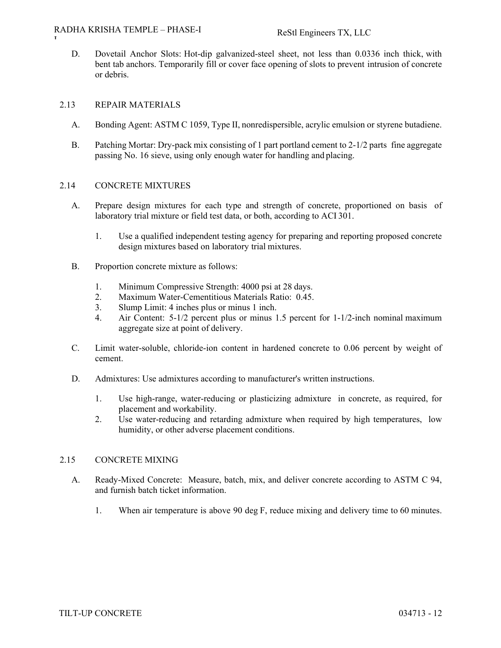#### RADHA KRISHA TEMPLE – PHASE-I

D. Dovetail Anchor Slots: Hot-dip galvanized-steel sheet, not less than 0.0336 inch thick, with bent tab anchors. Temporarily fill or cover face opening of slots to prevent intrusion of concrete or debris.

#### 2.13 REPAIR MATERIALS

- A. Bonding Agent: ASTM C 1059, Type II, nonredispersible, acrylic emulsion or styrene butadiene.
- B. Patching Mortar: Dry-pack mix consisting of 1 part portland cement to 2-1/2 parts fine aggregate passing No. 16 sieve, using only enough water for handling and placing.

#### 2.14 CONCRETE MIXTURES

- A. Prepare design mixtures for each type and strength of concrete, proportioned on basis of laboratory trial mixture or field test data, or both, according to ACI 301.
	- 1. Use a qualified independent testing agency for preparing and reporting proposed concrete design mixtures based on laboratory trial mixtures.
- B. Proportion concrete mixture as follows:
	- 1. Minimum Compressive Strength: 4000 psi at 28 days.
	- 2. Maximum Water-Cementitious Materials Ratio: 0.45.
	- 3. Slump Limit: 4 inches plus or minus 1 inch.
	- 4. Air Content: 5-1/2 percent plus or minus 1.5 percent for 1-1/2-inch nominal maximum aggregate size at point of delivery.
- C. Limit water-soluble, chloride-ion content in hardened concrete to 0.06 percent by weight of cement.
- D. Admixtures: Use admixtures according to manufacturer's written instructions.
	- 1. Use high-range, water-reducing or plasticizing admixture in concrete, as required, for placement and workability.
	- 2. Use water-reducing and retarding admixture when required by high temperatures, low humidity, or other adverse placement conditions.

# 2.15 CONCRETE MIXING

- A. Ready-Mixed Concrete: Measure, batch, mix, and deliver concrete according to ASTM C 94, and furnish batch ticket information.
	- 1. When air temperature is above 90 deg F, reduce mixing and delivery time to 60 minutes.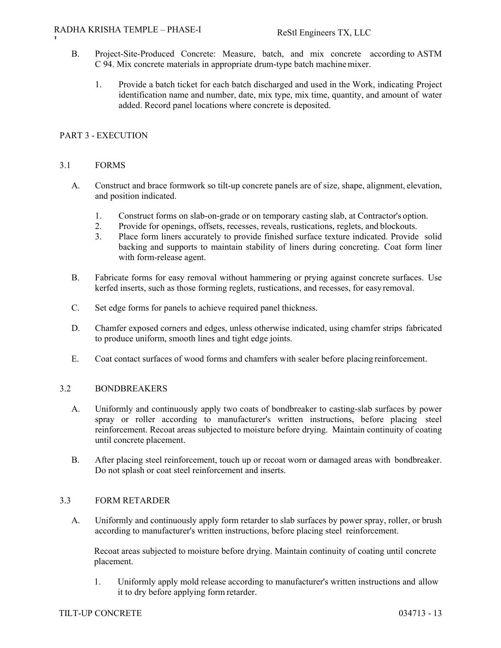- B. Project-Site-Produced Concrete: Measure, batch, and mix concrete according to ASTM C 94. Mix concrete materials in appropriate drum-type batch machine mixer.
	- 1. Provide a batch ticket for each batch discharged and used in the Work, indicating Project identification name and number, date, mix type, mix time, quantity, and amount of water added. Record panel locations where concrete is deposited.

# PART 3 - EXECUTION

#### 3.1 FORMS

- A. Construct and brace formwork so tilt-up concrete panels are of size, shape, alignment, elevation, and position indicated.
	- 1. Construct forms on slab-on-grade or on temporary casting slab, at Contractor's option.
	- 2. Provide for openings, offsets, recesses, reveals, rustications, reglets, and blockouts.
	- 3. Place form liners accurately to provide finished surface texture indicated. Provide solid backing and supports to maintain stability of liners during concreting. Coat form liner with form-release agent.
- B. Fabricate forms for easy removal without hammering or prying against concrete surfaces. Use kerfed inserts, such as those forming reglets, rustications, and recesses, for easy removal.
- C. Set edge forms for panels to achieve required panel thickness.
- D. Chamfer exposed corners and edges, unless otherwise indicated, using chamfer strips fabricated to produce uniform, smooth lines and tight edge joints.
- E. Coat contact surfaces of wood forms and chamfers with sealer before placing reinforcement.

# 3.2 BONDBREAKERS

- A. Uniformly and continuously apply two coats of bondbreaker to casting-slab surfaces by power spray or roller according to manufacturer's written instructions, before placing steel reinforcement. Recoat areas subjected to moisture before drying. Maintain continuity of coating until concrete placement.
- B. After placing steel reinforcement, touch up or recoat worn or damaged areas with bondbreaker. Do not splash or coat steel reinforcement and inserts.

#### 3.3 FORM RETARDER

A. Uniformly and continuously apply form retarder to slab surfaces by power spray, roller, or brush according to manufacturer's written instructions, before placing steel reinforcement.

Recoat areas subjected to moisture before drying. Maintain continuity of coating until concrete placement.

1. Uniformly apply mold release according to manufacturer's written instructions and allow it to dry before applying form retarder.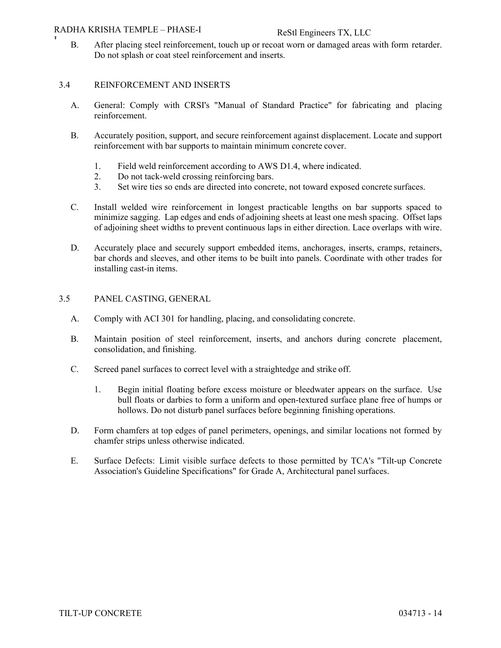#### RADHA KRISHA TEMPLE – PHASE-I

RADHA KRISHA TEMPLE – PHASE-I<br>
B. After placing steel reinforcement, touch up or recoat worn or damaged areas with form retarder. Do not splash or coat steel reinforcement and inserts.

#### 3.4 REINFORCEMENT AND INSERTS

- A. General: Comply with CRSI's "Manual of Standard Practice" for fabricating and placing reinforcement.
- B. Accurately position, support, and secure reinforcement against displacement. Locate and support reinforcement with bar supports to maintain minimum concrete cover.
	- 1. Field weld reinforcement according to AWS D1.4, where indicated.
	- 2. Do not tack-weld crossing reinforcing bars.
	- 3. Set wire ties so ends are directed into concrete, not toward exposed concrete surfaces.
- C. Install welded wire reinforcement in longest practicable lengths on bar supports spaced to minimize sagging. Lap edges and ends of adjoining sheets at least one mesh spacing. Offset laps of adjoining sheet widths to prevent continuous laps in either direction. Lace overlaps with wire.
- D. Accurately place and securely support embedded items, anchorages, inserts, cramps, retainers, bar chords and sleeves, and other items to be built into panels. Coordinate with other trades for installing cast-in items.

#### 3.5 PANEL CASTING, GENERAL

- A. Comply with ACI 301 for handling, placing, and consolidating concrete.
- B. Maintain position of steel reinforcement, inserts, and anchors during concrete placement, consolidation, and finishing.
- C. Screed panel surfaces to correct level with a straightedge and strike off.
	- 1. Begin initial floating before excess moisture or bleedwater appears on the surface. Use bull floats or darbies to form a uniform and open-textured surface plane free of humps or hollows. Do not disturb panel surfaces before beginning finishing operations.
- D. Form chamfers at top edges of panel perimeters, openings, and similar locations not formed by chamfer strips unless otherwise indicated.
- E. Surface Defects: Limit visible surface defects to those permitted by TCA's "Tilt-up Concrete Association's Guideline Specifications" for Grade A, Architectural panel surfaces.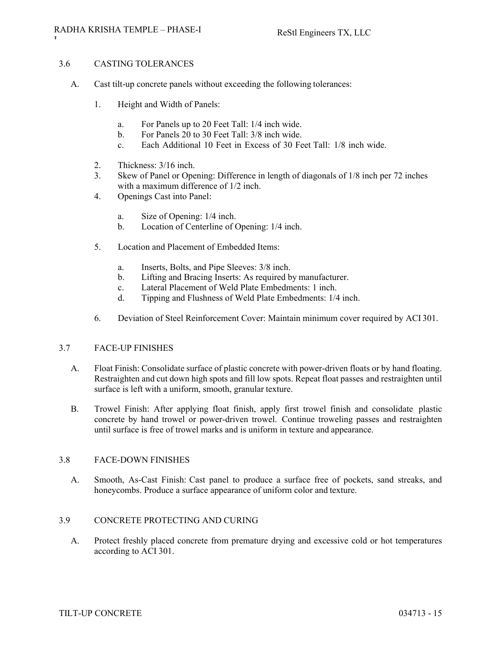# 3.6 CASTING TOLERANCES

- A. Cast tilt-up concrete panels without exceeding the following tolerances:
	- 1. Height and Width of Panels:
		- a. For Panels up to 20 Feet Tall: 1/4 inch wide.
		- b. For Panels 20 to 30 Feet Tall: 3/8 inch wide.
		- c. Each Additional 10 Feet in Excess of 30 Feet Tall: 1/8 inch wide.
	- 2. Thickness: 3/16 inch.
	- 3. Skew of Panel or Opening: Difference in length of diagonals of 1/8 inch per 72 inches with a maximum difference of 1/2 inch.
	- 4. Openings Cast into Panel:
		- a. Size of Opening: 1/4 inch.
		- b. Location of Centerline of Opening: 1/4 inch.
	- 5. Location and Placement of Embedded Items:
		- a. Inserts, Bolts, and Pipe Sleeves: 3/8 inch.
		- b. Lifting and Bracing Inserts: As required by manufacturer.
		- c. Lateral Placement of Weld Plate Embedments: 1 inch.
		- d. Tipping and Flushness of Weld Plate Embedments: 1/4 inch.
	- 6. Deviation of Steel Reinforcement Cover: Maintain minimum cover required by ACI 301.

#### 3.7 FACE-UP FINISHES

- A. Float Finish: Consolidate surface of plastic concrete with power-driven floats or by hand floating. Restraighten and cut down high spots and fill low spots. Repeat float passes and restraighten until surface is left with a uniform, smooth, granular texture.
- B. Trowel Finish: After applying float finish, apply first trowel finish and consolidate plastic concrete by hand trowel or power-driven trowel. Continue troweling passes and restraighten until surface is free of trowel marks and is uniform in texture and appearance.

#### 3.8 FACE-DOWN FINISHES

A. Smooth, As-Cast Finish: Cast panel to produce a surface free of pockets, sand streaks, and honeycombs. Produce a surface appearance of uniform color and texture.

# 3.9 CONCRETE PROTECTING AND CURING

A. Protect freshly placed concrete from premature drying and excessive cold or hot temperatures according to ACI 301.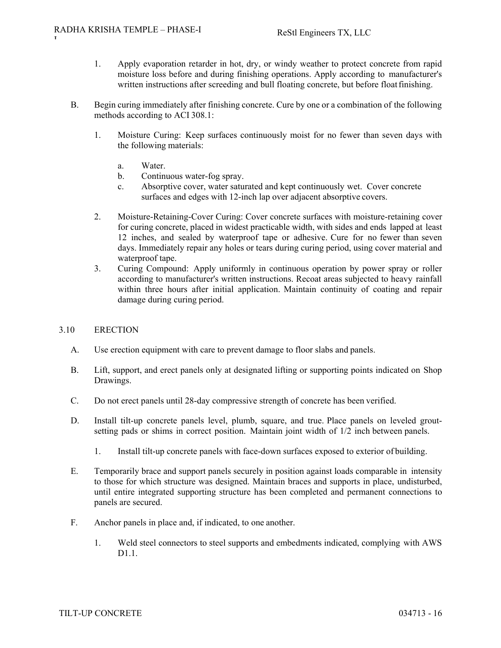- 1. Apply evaporation retarder in hot, dry, or windy weather to protect concrete from rapid moisture loss before and during finishing operations. Apply according to manufacturer's written instructions after screeding and bull floating concrete, but before float finishing.
- B. Begin curing immediately after finishing concrete. Cure by one or a combination of the following methods according to ACI 308.1:
	- 1. Moisture Curing: Keep surfaces continuously moist for no fewer than seven days with the following materials:
		- a. Water.
		- b. Continuous water-fog spray.
		- c. Absorptive cover, water saturated and kept continuously wet. Cover concrete surfaces and edges with 12-inch lap over adjacent absorptive covers.
	- 2. Moisture-Retaining-Cover Curing: Cover concrete surfaces with moisture-retaining cover for curing concrete, placed in widest practicable width, with sides and ends lapped at least 12 inches, and sealed by waterproof tape or adhesive. Cure for no fewer than seven days. Immediately repair any holes or tears during curing period, using cover material and waterproof tape.
	- 3. Curing Compound: Apply uniformly in continuous operation by power spray or roller according to manufacturer's written instructions. Recoat areas subjected to heavy rainfall within three hours after initial application. Maintain continuity of coating and repair damage during curing period.

# 3.10 ERECTION

- A. Use erection equipment with care to prevent damage to floor slabs and panels.
- B. Lift, support, and erect panels only at designated lifting or supporting points indicated on Shop Drawings.
- C. Do not erect panels until 28-day compressive strength of concrete has been verified.
- D. Install tilt-up concrete panels level, plumb, square, and true. Place panels on leveled groutsetting pads or shims in correct position. Maintain joint width of 1/2 inch between panels.
	- 1. Install tilt-up concrete panels with face-down surfaces exposed to exterior of building.
- E. Temporarily brace and support panels securely in position against loads comparable in intensity to those for which structure was designed. Maintain braces and supports in place, undisturbed, until entire integrated supporting structure has been completed and permanent connections to panels are secured.
- F. Anchor panels in place and, if indicated, to one another.
	- 1. Weld steel connectors to steel supports and embedments indicated, complying with AWS D1.1.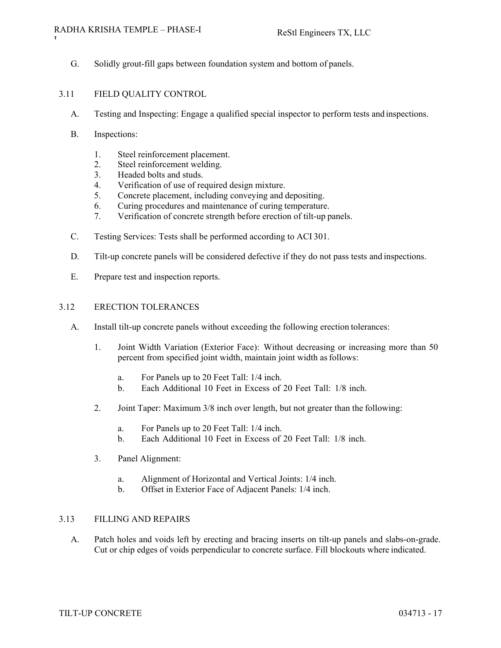#### RADHA KRISHA TEMPLE – PHASE-I

G. Solidly grout-fill gaps between foundation system and bottom of panels.

# 3.11 FIELD QUALITY CONTROL

- A. Testing and Inspecting: Engage a qualified special inspector to perform tests and inspections.
- B. Inspections:
	- 1. Steel reinforcement placement.
	- 2. Steel reinforcement welding.
	- 3. Headed bolts and studs.
	- 4. Verification of use of required design mixture.
	- 5. Concrete placement, including conveying and depositing.
	- 6. Curing procedures and maintenance of curing temperature.
	- 7. Verification of concrete strength before erection of tilt-up panels.
- C. Testing Services: Tests shall be performed according to ACI 301.
- D. Tilt-up concrete panels will be considered defective if they do not pass tests and inspections.
- E. Prepare test and inspection reports.

#### 3.12 ERECTION TOLERANCES

- A. Install tilt-up concrete panels without exceeding the following erection tolerances:
	- 1. Joint Width Variation (Exterior Face): Without decreasing or increasing more than 50 percent from specified joint width, maintain joint width as follows:
		- a. For Panels up to 20 Feet Tall: 1/4 inch.
		- b. Each Additional 10 Feet in Excess of 20 Feet Tall: 1/8 inch.
	- 2. Joint Taper: Maximum 3/8 inch over length, but not greater than the following:
		- a. For Panels up to 20 Feet Tall: 1/4 inch.
		- b. Each Additional 10 Feet in Excess of 20 Feet Tall: 1/8 inch.
	- 3. Panel Alignment:
		- a. Alignment of Horizontal and Vertical Joints: 1/4 inch.
		- b. Offset in Exterior Face of Adjacent Panels: 1/4 inch.

# 3.13 FILLING AND REPAIRS

A. Patch holes and voids left by erecting and bracing inserts on tilt-up panels and slabs-on-grade. Cut or chip edges of voids perpendicular to concrete surface. Fill blockouts where indicated.